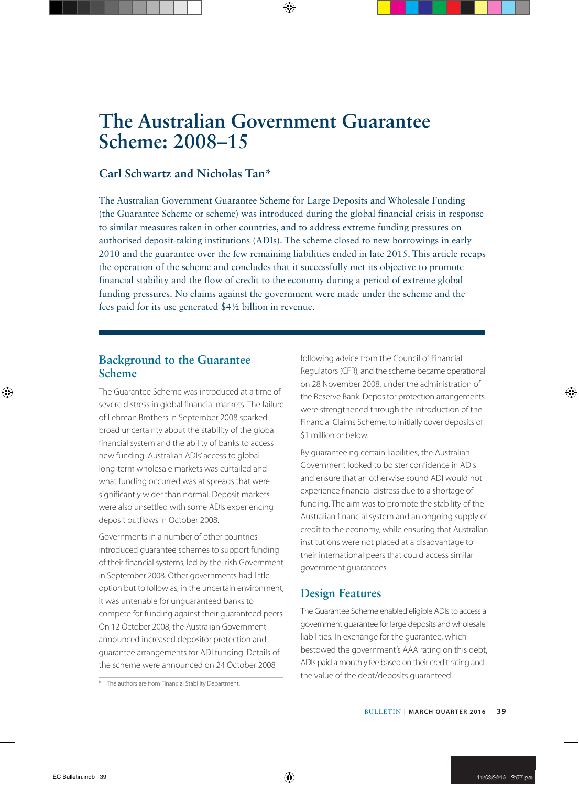# **The Australian Government Guarantee Scheme: 2008–15**

# **Carl Schwartz and Nicholas Tan\***

The Australian Government Guarantee Scheme for Large Deposits and Wholesale Funding (the Guarantee Scheme or scheme) was introduced during the global financial crisis in response to similar measures taken in other countries, and to address extreme funding pressures on authorised deposit-taking institutions (ADIs). The scheme closed to new borrowings in early 2010 and the guarantee over the few remaining liabilities ended in late 2015. This article recaps the operation of the scheme and concludes that it successfully met its objective to promote financial stability and the flow of credit to the economy during a period of extreme global funding pressures. No claims against the government were made under the scheme and the fees paid for its use generated \$4½ billion in revenue.

# **Background to the Guarantee Scheme**

The Guarantee Scheme was introduced at a time of severe distress in global financial markets. The failure of Lehman Brothers in September 2008 sparked broad uncertainty about the stability of the global financial system and the ability of banks to access new funding. Australian ADIs' access to global long-term wholesale markets was curtailed and what funding occurred was at spreads that were significantly wider than normal. Deposit markets were also unsettled with some ADIs experiencing deposit outflows in October 2008.

Governments in a number of other countries introduced guarantee schemes to support funding of their financial systems, led by the Irish Government in September 2008. Other governments had little option but to follow as, in the uncertain environment, it was untenable for unguaranteed banks to compete for funding against their guaranteed peers. On 12 October 2008, the Australian Government announced increased depositor protection and guarantee arrangements for ADI funding. Details of the scheme were announced on 24 October 2008

following advice from the Council of Financial Regulators (CFR), and the scheme became operational on 28 November 2008, under the administration of the Reserve Bank. Depositor protection arrangements were strengthened through the introduction of the Financial Claims Scheme, to initially cover deposits of \$1 million or below.

By guaranteeing certain liabilities, the Australian Government looked to bolster confidence in ADIs and ensure that an otherwise sound ADI would not experience financial distress due to a shortage of funding. The aim was to promote the stability of the Australian financial system and an ongoing supply of credit to the economy, while ensuring that Australian institutions were not placed at a disadvantage to their international peers that could access similar government guarantees.

# **Design Features**

The Guarantee Scheme enabled eligible ADIs to access a government guarantee for large deposits and wholesale liabilities. In exchange for the guarantee, which bestowed the government's AAA rating on this debt, ADIs paid a monthly fee based on their credit rating and the value of the debt/deposits guaranteed.

<sup>\*</sup> The authors are from Financial Stability Department.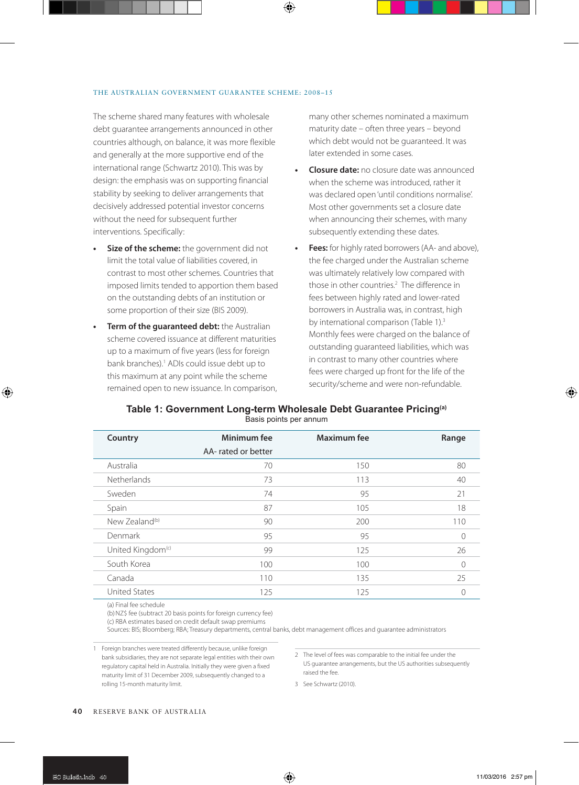#### THE AUSTRALIAN GOVERNMENT GUARANTEE SCHEME: 2008–15

The scheme shared many features with wholesale debt guarantee arrangements announced in other countries although, on balance, it was more flexible and generally at the more supportive end of the international range (Schwartz 2010). This was by design: the emphasis was on supporting financial stability by seeking to deliver arrangements that decisively addressed potential investor concerns without the need for subsequent further interventions. Specifically:

- **• Size of the scheme:** the government did not limit the total value of liabilities covered, in contrast to most other schemes. Countries that imposed limits tended to apportion them based on the outstanding debts of an institution or some proportion of their size (BIS 2009).
- **• Term of the guaranteed debt:** the Australian scheme covered issuance at different maturities up to a maximum of five years (less for foreign bank branches).1 ADIs could issue debt up to this maximum at any point while the scheme remained open to new issuance. In comparison,

many other schemes nominated a maximum maturity date – often three years – beyond which debt would not be guaranteed. It was later extended in some cases.

- **• Closure date:** no closure date was announced when the scheme was introduced, rather it was declared open 'until conditions normalise'. Most other governments set a closure date when announcing their schemes, with many subsequently extending these dates.
- **Fees:** for highly rated borrowers (AA- and above), the fee charged under the Australian scheme was ultimately relatively low compared with those in other countries.<sup>2</sup> The difference in fees between highly rated and lower-rated borrowers in Australia was, in contrast, high by international comparison (Table 1).<sup>3</sup> Monthly fees were charged on the balance of outstanding guaranteed liabilities, which was in contrast to many other countries where fees were charged up front for the life of the security/scheme and were non-refundable.

#### **Table 1: Government Long-term Wholesale Debt Guarantee Pricing(a)** Basis points per annum

| Country                       | Minimum fee        | <b>Maximum</b> fee | Range |
|-------------------------------|--------------------|--------------------|-------|
|                               | AA-rated or better |                    |       |
| Australia                     | 70                 | 150                | 80    |
| Netherlands                   | 73                 | 113                | 40    |
| Sweden                        | 74                 | 95                 | 21    |
| Spain                         | 87                 | 105                | 18    |
| New Zealand <sup>(b)</sup>    | 90                 | 200                | 110   |
| Denmark                       | 95                 | 95                 | 0     |
| United Kingdom <sup>(c)</sup> | 99                 | 125                | 26    |
| South Korea                   | 100                | 100                | 0     |
| Canada                        | 110                | 135                | 25    |
| <b>United States</b>          | 125                | 125                | 0     |

(a) Final fee schedule

(b) NZ\$ fee (subtract 20 basis points for foreign currency fee)

(c) RBA estimates based on credit default swap premiums

Sources: BIS; Bloomberg; RBA; Treasury departments, central banks, debt management offices and guarantee administrators

1 Foreign branches were treated differently because, unlike foreign bank subsidiaries, they are not separate legal entities with their own regulatory capital held in Australia. Initially they were given a fixed maturity limit of 31 December 2009, subsequently changed to a rolling 15-month maturity limit.

3 See Schwartz (2010).

<sup>2</sup> The level of fees was comparable to the initial fee under the US guarantee arrangements, but the US authorities subsequently raised the fee.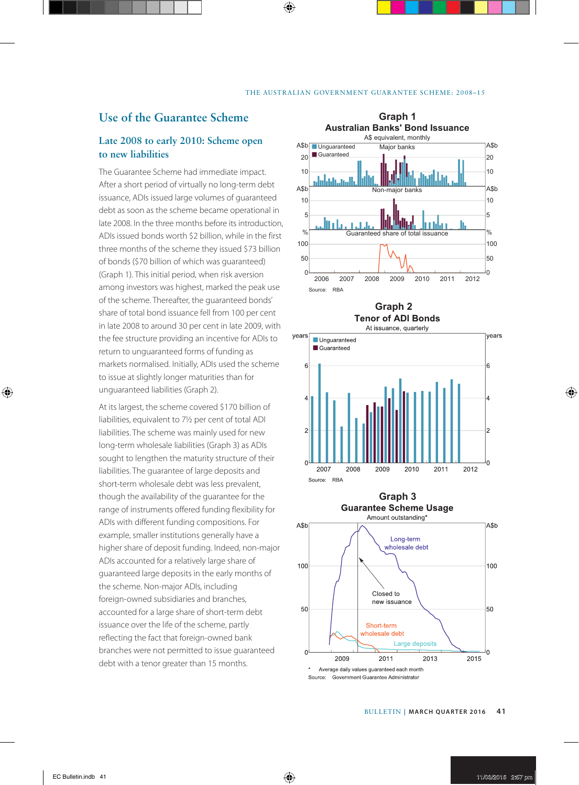## **Use of the Guarantee Scheme**

#### **Late 2008 to early 2010: Scheme open to new liabilities**

The Guarantee Scheme had immediate impact. After a short period of virtually no long-term debt issuance, ADIs issued large volumes of guaranteed debt as soon as the scheme became operational in late 2008. In the three months before its introduction, ADIs issued bonds worth \$2 billion, while in the first three months of the scheme they issued \$73 billion of bonds (\$70 billion of which was guaranteed) (Graph 1). This initial period, when risk aversion among investors was highest, marked the peak use of the scheme. Thereafter, the guaranteed bonds' share of total bond issuance fell from 100 per cent in late 2008 to around 30 per cent in late 2009, with the fee structure providing an incentive for ADIs to return to unguaranteed forms of funding as markets normalised. Initially, ADIs used the scheme to issue at slightly longer maturities than for unguaranteed liabilities (Graph 2).

At its largest, the scheme covered \$170 billion of liabilities, equivalent to 7½ per cent of total ADI liabilities. The scheme was mainly used for new long-term wholesale liabilities (Graph 3) as ADIs sought to lengthen the maturity structure of their liabilities. The guarantee of large deposits and short-term wholesale debt was less prevalent, though the availability of the guarantee for the range of instruments offered funding flexibility for ADIs with different funding compositions. For example, smaller institutions generally have a higher share of deposit funding. Indeed, non-major ADIs accounted for a relatively large share of guaranteed large deposits in the early months of the scheme. Non-major ADIs, including foreign-owned subsidiaries and branches, accounted for a large share of short-term debt issuance over the life of the scheme, partly reflecting the fact that foreign-owned bank branches were not permitted to issue guaranteed debt with a tenor greater than 15 months.



**Graph 2 Tenor of ADI Bonds** 





Source: Government Guarantee Administrator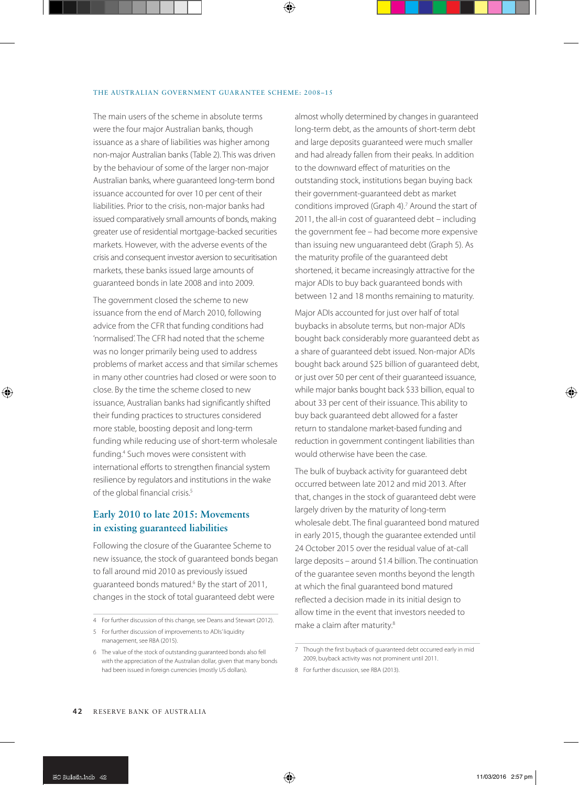#### THE AUSTRALIAN GOVERNMENT GUARANTEE SCHEME: 2008–15

The main users of the scheme in absolute terms were the four major Australian banks, though issuance as a share of liabilities was higher among non-major Australian banks (Table 2). This was driven by the behaviour of some of the larger non-major Australian banks, where guaranteed long-term bond issuance accounted for over 10 per cent of their liabilities. Prior to the crisis, non-major banks had issued comparatively small amounts of bonds, making greater use of residential mortgage-backed securities markets. However, with the adverse events of the crisis and consequent investor aversion to securitisation markets, these banks issued large amounts of guaranteed bonds in late 2008 and into 2009.

The government closed the scheme to new issuance from the end of March 2010, following advice from the CFR that funding conditions had 'normalised'. The CFR had noted that the scheme was no longer primarily being used to address problems of market access and that similar schemes in many other countries had closed or were soon to close. By the time the scheme closed to new issuance, Australian banks had significantly shifted their funding practices to structures considered more stable, boosting deposit and long-term funding while reducing use of short-term wholesale funding.4 Such moves were consistent with international efforts to strengthen financial system resilience by regulators and institutions in the wake of the global financial crisis.<sup>5</sup>

## **Early 2010 to late 2015: Movements in existing guaranteed liabilities**

Following the closure of the Guarantee Scheme to new issuance, the stock of guaranteed bonds began to fall around mid 2010 as previously issued guaranteed bonds matured.6 By the start of 2011, changes in the stock of total guaranteed debt were

almost wholly determined by changes in guaranteed long-term debt, as the amounts of short-term debt and large deposits guaranteed were much smaller and had already fallen from their peaks. In addition to the downward effect of maturities on the outstanding stock, institutions began buying back their government-guaranteed debt as market conditions improved (Graph 4).7 Around the start of 2011, the all-in cost of guaranteed debt – including the government fee – had become more expensive than issuing new unguaranteed debt (Graph 5). As the maturity profile of the guaranteed debt shortened, it became increasingly attractive for the major ADIs to buy back guaranteed bonds with between 12 and 18 months remaining to maturity.

Major ADIs accounted for just over half of total buybacks in absolute terms, but non-major ADIs bought back considerably more guaranteed debt as a share of guaranteed debt issued. Non-major ADIs bought back around \$25 billion of guaranteed debt, or just over 50 per cent of their guaranteed issuance, while major banks bought back \$33 billion, equal to about 33 per cent of their issuance. This ability to buy back guaranteed debt allowed for a faster return to standalone market-based funding and reduction in government contingent liabilities than would otherwise have been the case.

The bulk of buyback activity for guaranteed debt occurred between late 2012 and mid 2013. After that, changes in the stock of guaranteed debt were largely driven by the maturity of long-term wholesale debt. The final guaranteed bond matured in early 2015, though the guarantee extended until 24 October 2015 over the residual value of at-call large deposits – around \$1.4 billion. The continuation of the guarantee seven months beyond the length at which the final guaranteed bond matured reflected a decision made in its initial design to allow time in the event that investors needed to make a claim after maturity.<sup>8</sup>

<sup>4</sup> For further discussion of this change, see Deans and Stewart (2012).

<sup>5</sup> For further discussion of improvements to ADIs' liquidity management, see RBA (2015).

<sup>6</sup> The value of the stock of outstanding guaranteed bonds also fell with the appreciation of the Australian dollar, given that many bonds had been issued in foreign currencies (mostly US dollars).

<sup>7</sup> Though the first buyback of guaranteed debt occurred early in mid 2009, buyback activity was not prominent until 2011.

<sup>8</sup> For further discussion, see RBA (2013).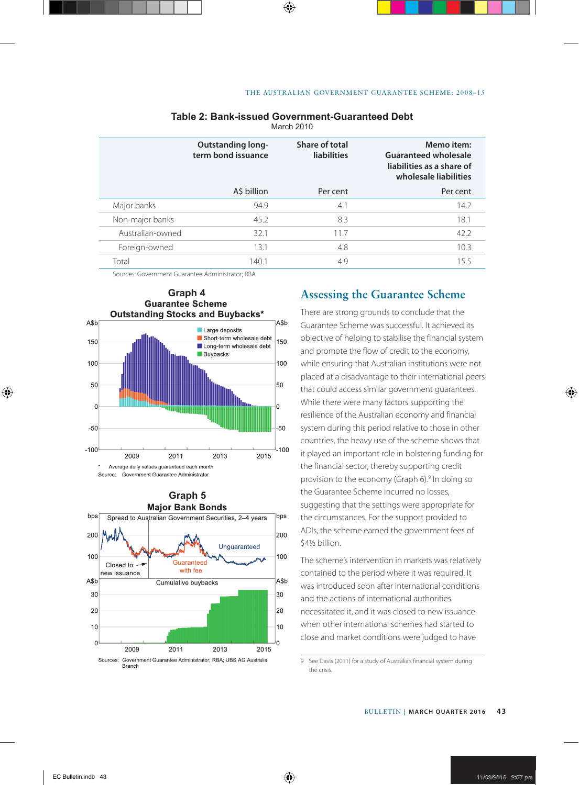|                  | <b>Outstanding long-</b><br>term bond issuance | Share of total<br><b>liabilities</b> | Memo item:<br><b>Guaranteed wholesale</b><br>liabilities as a share of<br>wholesale liabilities |  |  |
|------------------|------------------------------------------------|--------------------------------------|-------------------------------------------------------------------------------------------------|--|--|
|                  | A\$ billion                                    | Per cent                             | Per cent                                                                                        |  |  |
| Major banks      | 94.9                                           | 4.1                                  | 14.2                                                                                            |  |  |
| Non-major banks  | 45.2                                           | 8.3                                  | 18.1                                                                                            |  |  |
| Australian-owned | 32.1                                           | 11.7                                 | 42.2                                                                                            |  |  |
| Foreign-owned    | 13.1                                           | 4.8                                  | 10.3                                                                                            |  |  |
| Total            | 140.1                                          | 4.9                                  | 15.5                                                                                            |  |  |
|                  |                                                |                                      |                                                                                                 |  |  |

#### **Table 2: Bank-issued Government-Guaranteed Debt** March 2010

Sources: Government Guarantee Administrator; RBA



# **Graph 5**<br>Major Bank Bonds



There are strong grounds to conclude that the Guarantee Scheme was successful. It achieved its objective of helping to stabilise the financial system and promote the flow of credit to the economy, while ensuring that Australian institutions were not placed at a disadvantage to their international peers that could access similar government guarantees. While there were many factors supporting the resilience of the Australian economy and financial system during this period relative to those in other countries, the heavy use of the scheme shows that it played an important role in bolstering funding for the financial sector, thereby supporting credit provision to the economy (Graph 6).<sup>9</sup> In doing so the Guarantee Scheme incurred no losses, suggesting that the settings were appropriate for the circumstances. For the support provided to ADIs, the scheme earned the government fees of \$4½ billion.

The scheme's intervention in markets was relatively contained to the period where it was required. It was introduced soon after international conditions and the actions of international authorities necessitated it, and it was closed to new issuance when other international schemes had started to close and market conditions were judged to have

9 See Davis (2011) for a study of Australia's financial system during the crisis.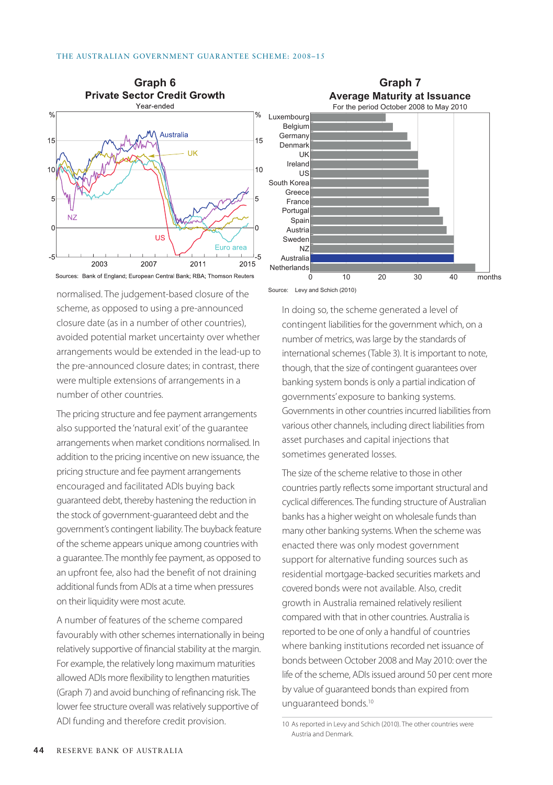



normalised. The judgement-based closure of the scheme, as opposed to using a pre-announced closure date (as in a number of other countries), avoided potential market uncertainty over whether arrangements would be extended in the lead-up to the pre-announced closure dates; in contrast, there were multiple extensions of arrangements in a number of other countries.

The pricing structure and fee payment arrangements also supported the 'natural exit' of the guarantee arrangements when market conditions normalised. In addition to the pricing incentive on new issuance, the pricing structure and fee payment arrangements encouraged and facilitated ADIs buying back guaranteed debt, thereby hastening the reduction in the stock of government-guaranteed debt and the government's contingent liability. The buyback feature of the scheme appears unique among countries with a guarantee. The monthly fee payment, as opposed to an upfront fee, also had the benefit of not draining additional funds from ADIs at a time when pressures on their liquidity were most acute.

A number of features of the scheme compared favourably with other schemes internationally in being relatively supportive of financial stability at the margin. For example, the relatively long maximum maturities allowed ADIs more flexibility to lengthen maturities (Graph 7) and avoid bunching of refinancing risk. The lower fee structure overall was relatively supportive of ADI funding and therefore credit provision.

Source: Levy and Schich (2010)

In doing so, the scheme generated a level of contingent liabilities for the government which, on a number of metrics, was large by the standards of international schemes (Table 3). It is important to note, though, that the size of contingent guarantees over banking system bonds is only a partial indication of governments' exposure to banking systems. Governments in other countries incurred liabilities from various other channels, including direct liabilities from asset purchases and capital injections that sometimes generated losses.

The size of the scheme relative to those in other countries partly reflects some important structural and cyclical differences. The funding structure of Australian banks has a higher weight on wholesale funds than many other banking systems. When the scheme was enacted there was only modest government support for alternative funding sources such as residential mortgage-backed securities markets and covered bonds were not available. Also, credit growth in Australia remained relatively resilient compared with that in other countries. Australia is reported to be one of only a handful of countries where banking institutions recorded net issuance of bonds between October 2008 and May 2010: over the life of the scheme, ADIs issued around 50 per cent more by value of guaranteed bonds than expired from unguaranteed bonds.10

<sup>10</sup> As reported in Levy and Schich (2010). The other countries were Austria and Denmark.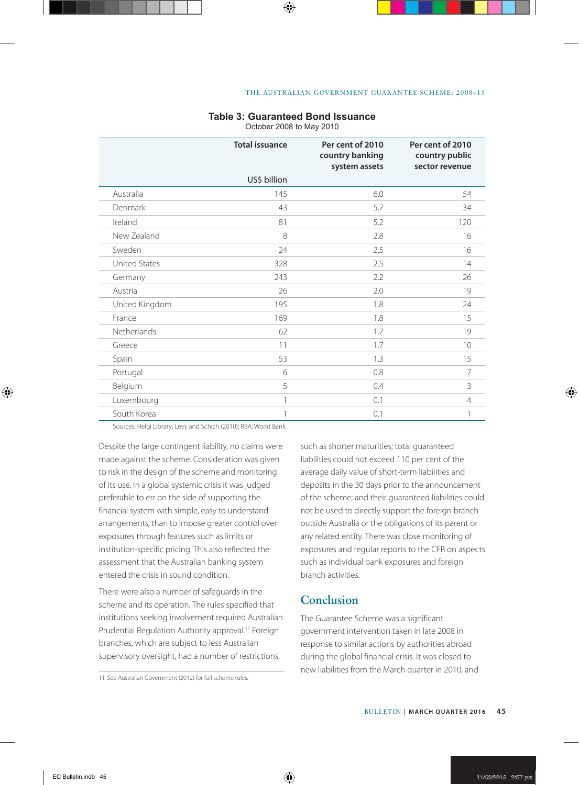#### **Table 3: Guaranteed Bond Issuance**

October 2008 to May 2010

|                      | <b>Total issuance</b> | Per cent of 2010<br>country banking<br>system assets | Per cent of 2010<br>country public<br>sector revenue |
|----------------------|-----------------------|------------------------------------------------------|------------------------------------------------------|
|                      | US\$ billion          |                                                      |                                                      |
| Australia            | 145                   | 6.0                                                  | 54                                                   |
| Denmark              | 43                    | 5.7                                                  | 34                                                   |
| Ireland              | 81                    | 5.2                                                  | 120                                                  |
| New Zealand          | 8                     | 2.8                                                  | 16                                                   |
| Sweden               | 24                    | 2.5                                                  | 16                                                   |
| <b>United States</b> | 328                   | 2.5                                                  | 14                                                   |
| Germany              | 243                   | 2.2                                                  | 26                                                   |
| Austria              | 26                    | 2.0                                                  | 19                                                   |
| United Kingdom       | 195                   | 1.8                                                  | 24                                                   |
| France               | 169                   | 1.8                                                  | 15                                                   |
| Netherlands          | 62                    | 1.7                                                  | 19                                                   |
| Greece               | 11                    | 1.7                                                  | 10                                                   |
| Spain                | 53                    | 1.3                                                  | 15                                                   |
| Portugal             | 6                     | 0.8                                                  | 7                                                    |
| Belgium              | 5                     | 0.4                                                  | 3                                                    |
| Luxembourg           | 1                     | 0.1                                                  | $\overline{4}$                                       |
| South Korea          | 1                     | 0.1                                                  | 1                                                    |

Sources: Helgi Library; Levy and Schich (2010); RBA; World Bank

Despite the large contingent liability, no claims were made against the scheme. Consideration was given to risk in the design of the scheme and monitoring of its use. In a global systemic crisis it was judged preferable to err on the side of supporting the financial system with simple, easy to understand arrangements, than to impose greater control over exposures through features such as limits or institution-specific pricing. This also reflected the assessment that the Australian banking system entered the crisis in sound condition.

There were also a number of safeguards in the scheme and its operation. The rules specified that institutions seeking involvement required Australian Prudential Regulation Authority approval.<sup>11</sup> Foreign branches, which are subject to less Australian supervisory oversight, had a number of restrictions,

such as shorter maturities; total guaranteed liabilities could not exceed 110 per cent of the average daily value of short-term liabilities and deposits in the 30 days prior to the announcement of the scheme; and their guaranteed liabilities could not be used to directly support the foreign branch outside Australia or the obligations of its parent or any related entity. There was close monitoring of exposures and regular reports to the CFR on aspects such as individual bank exposures and foreign branch activities.

# **Conclusion**

The Guarantee Scheme was a significant government intervention taken in late 2008 in response to similar actions by authorities abroad during the global financial crisis. It was closed to new liabilities from the March quarter in 2010, and

<sup>11</sup> See Australian Government (2012) for full scheme rules.